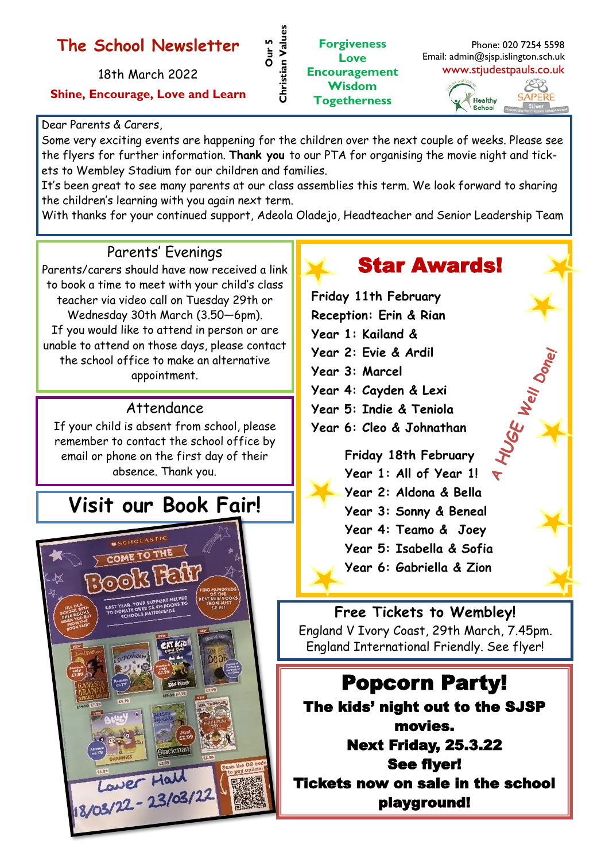## **The School Newsletter**

18th March 2022

**Shine, Encourage, Love and Learn**

#### Dear Parents & Carers,

Some very exciting events are happening for the children over the next couple of weeks. Please see the flyers for further information. **Thank you** to our PTA for organising the movie night and tickets to Wembley Stadium for our children and families.

**Our 5<br>Christian Values Christian Values**

It's been great to see many parents at our class assemblies this term. We look forward to sharing the children's learning with you again next term.

With thanks for your continued support, Adeola Oladejo, Headteacher and Senior Leadership Team

#### Parents' Evenings

Parents/carers should have now received a link to book a time to meet with your child's class teacher via video call on Tuesday 29th or Wednesday 30th March (3.50—6pm). If you would like to attend in person or are unable to attend on those days, please contact the school office to make an alternative appointment.

#### Attendance

If your child is absent from school, please remember to contact the school office by email or phone on the first day of their absence. Thank you.

# **Visit our Book Fair!**



# Star Awards!

**Friday 11th February Reception: Erin & Rian Year 1: Kailand & Year 2: Evie & Ardil Year 3: Marcel Year 4: Cayden & Lexi Year 5: Indie & Teniola Year 6: Cleo & Johnathan Friday 18th February**

**Year 1: All of Year 1! Year 2: Aldona & Bella Year 3: Sonny & Beneal**

- **Year 4: Teamo & Joey**
- **Year 5: Isabella & Sofia**
- **Year 6: Gabriella & Zion**

**Free Tickets to Wembley!**  England V Ivory Coast, 29th March, 7.45pm. England International Friendly. See flyer!

## Popcorn Party!

The kids' night out to the SJSP movies. Next Friday, 25.3.22 See flyer! Tickets now on sale in the school playground!

**Forgiveness Love Encouragement Wisdom Togetherness**

Email: admin@sjsp.islington.sch.uk www.stjudestpauls.co.uk EB

Phone: 020 7254 5598

HUGE Well Done!

APERE Healthy School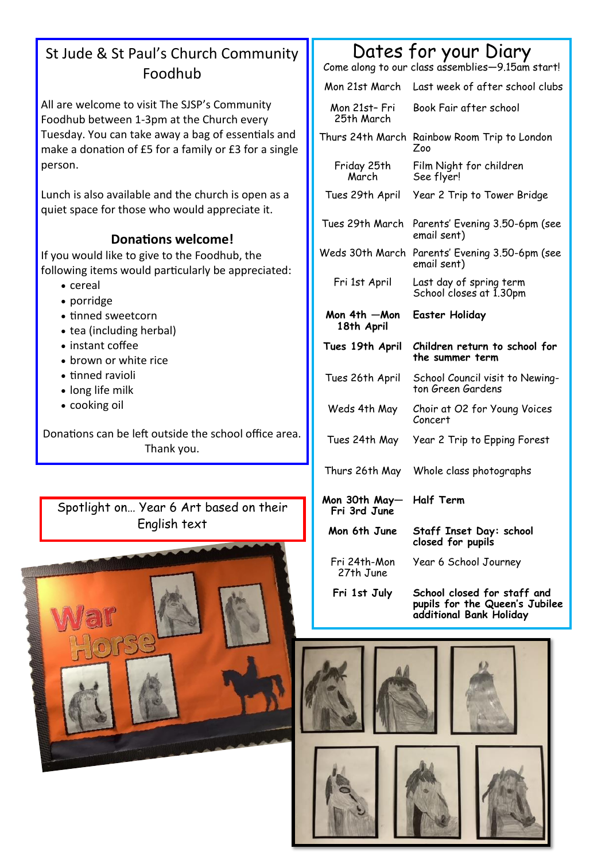### St Jude & St Paul's Church Community Foodhub

All are welcome to visit The SJSP's Community Foodhub between 1-3pm at the Church every Tuesday. You can take away a bag of essentials and make a donation of £5 for a family or £3 for a single person.

Lunch is also available and the church is open as a quiet space for those who would appreciate it.

#### **Donations welcome!**

If you would like to give to the Foodhub, the following items would particularly be appreciated:

- cereal
- porridge
- tinned sweetcorn
- tea (including herbal)
- instant coffee
- brown or white rice
- tinned ravioli
- long life milk
- cooking oil

Donations can be left outside the school office area. Thank you.

Spotlight on… Year 6 Art based on their English text



## Dates for your Diary

Come along to our class assemblies—9.15am start!

Mon 21st March Last week of after school clubs

| Mon 21st- Fri<br>25th March   | Book Fair after school                               |
|-------------------------------|------------------------------------------------------|
|                               | Thurs 24th March Rainbow Room Trip to London<br>Zoo  |
| Friday 25th<br>March          | Film Night for children<br>See flyer!                |
| Tues 29th April               | Year 2 Trip to Tower Bridge                          |
| Tues 29th March               | Parents' Evening 3.50-6pm (see<br>email sent)        |
| Weds 30th March               | Parents' Evening 3.50-6pm (see<br>email sent)        |
| Fri 1st April                 | Last day of spring term<br>School closes at 1.30pm   |
| Mon 4th —Mon<br>18th April    | <b>Easter Holiday</b>                                |
|                               |                                                      |
| Tues 19th April               | Children return to school for<br>the summer term     |
| Tues 26th April               | School Council visit to Newing-<br>ton Green Gardens |
| Weds 4th May                  | Choir at O2 for Young Voices<br>Concert              |
| Tues 24th May                 | Year 2 Trip to Epping Forest                         |
| Thurs 26th May                | Whole class photographs                              |
| Mon 30th May-<br>Fri 3rd June | <b>Half Term</b>                                     |
| Mon 6th June                  | Staff Inset Day: school<br>closed for pupils         |

**Fri 1st July School closed for staff and pupils for the Queen's Jubilee additional Bank Holiday**

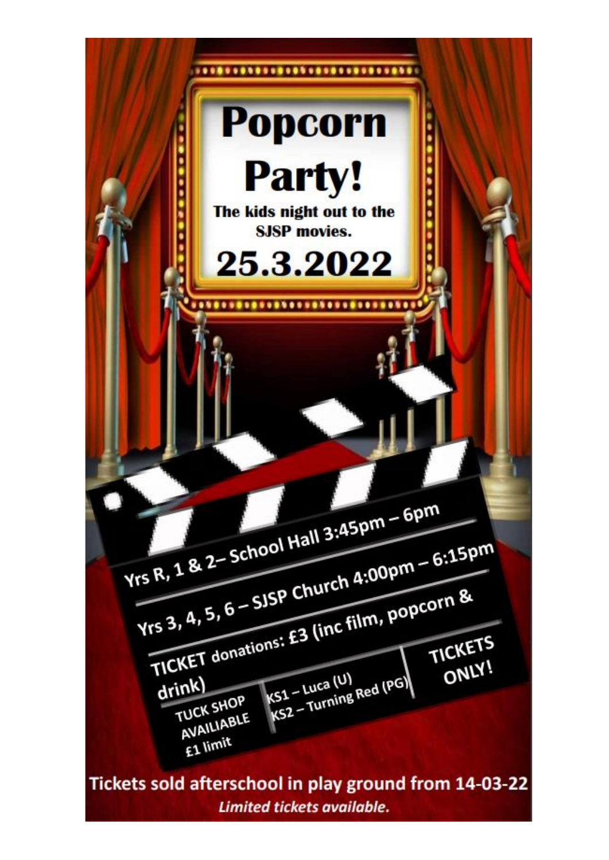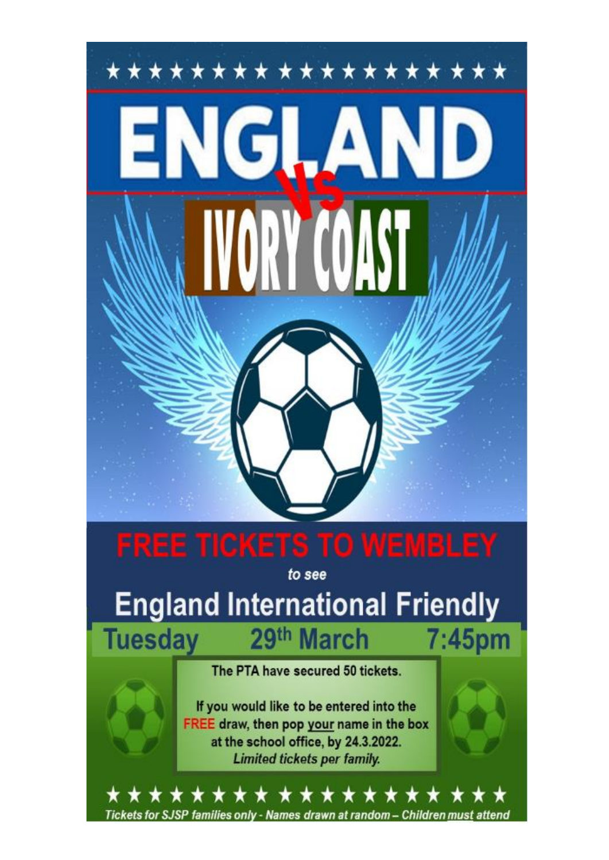